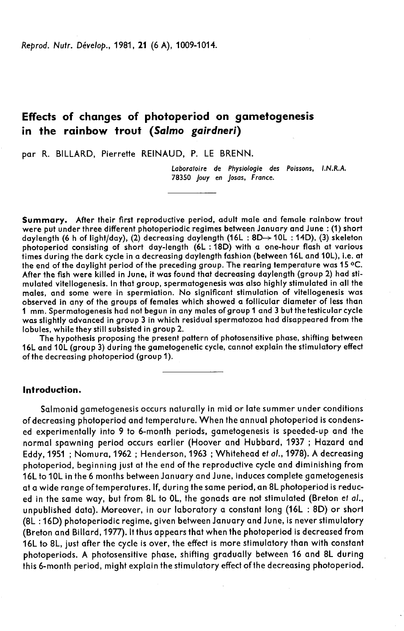Reprod. Nutr. Dévelop., 1981, 21 (6 A), 1009-1014.

# Effects of changes of photoperiod on gametogenesis in the rainbow trout (Salmo gairdneri)

par R. BILLARD, Pierrette REINAUD, P. LE BRENN.

Laboratoire de Physiologie des Poissons, LN.R.A. 78350 Jouy en Josas, France.

Summary. After their first reproductive period, adult male and female rainbow trout were put under three different photoperiodic regimes between January and June : (1) short daylength (6 h of light/day), (2) decreasing daylength (16L: 8D $\rightarrow$  10L: 14D), (3) skeleton photoperiod consisting of short day-length (6L : 18D) with a one-hour flash at various times during the dark cycle in a decreasing daylength fashion (between 16L and 10L), i.e. at the end of the daylight period of the preceding group. The rearing temperature was 15 °C. After the fish were killed in June, it was found that decreasing daylength (group 2) had stimulated vitellogenesis. In that group, spermatogenesis was also highly stimulated in all the males, and some were in spermiation. No significant stimulation of vitellogenesis was observed in any of the groups of females which showed a follicular diameter of less than was slightly advanced in aroup 3 in which residual spermatozoa had disappeared from the lobules, while they still subsisted in group 2.

The hypothesis proposing the present pattern of photosensitive phase, shifting between 16L and 10L (group 3) during the gametogenetic cycle, cannot explain the stimulatory effect of the decreasing photoperiod (group 1).

## Introduction.

Salmonid gametogenesis occurs naturally in mid or late summer under conditions of decreasing photoperiod and temperature. When the annual photoperiod is condensed experimentally into 9 to 6-month periods, gametogenesis is speeded-up and the normal spawning period occurs earlier (Hoover and Hubbard, 1937 ; Hazard and Eddy, 1951 ; Nomura, 1962 ; Henderson, 1963 ; Whitehead et al., 1978). A decreasing photoperiod, beginning just at the end of the reproductive cycle and diminishing from 16L to 10L in the 6 months between January and June, induces complete gametogenesis at a wide range of temperatures. If, during the same period, an 8L photoperiod is reduced in the same way, but from 8L to OL, the gonads are not stimulated (Breton et al., unpublished data). Moreover, in our laboratory a constant long (16L : 8D) or short (8L :16D) photoperiodic regime, given between January and June, is never stimulatory (Breton and Billard, 1977). It thus appears that when the photoperiod is decreased from 16L to 8L, just after the cycle is over, the effect is more stimulatory than with constant photoperiods. A photosensitive phase, shifting gradually between 16 and 8L during this 6-month period, might explain the stimulatory effect of the decreasing photoperiod.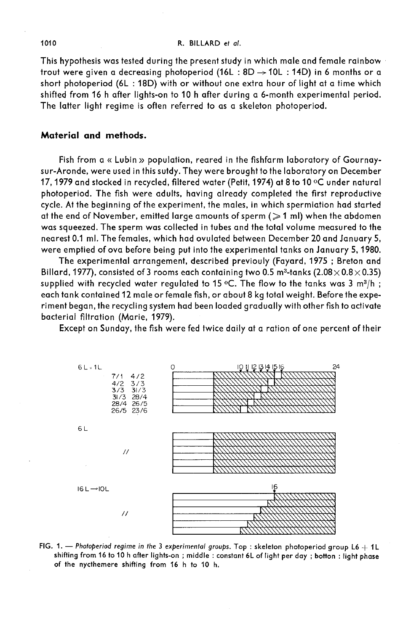#### R. BILLARD et al.

This hypothesis was tested during the present study in which male and female rainbow trout were given a decreasing photoperiod (16L : 8D  $\rightarrow$  10L : 14D) in 6 months or a short photoperiod (6L : 18D) with or without one extra hour of light at a time which shifted from 16 h after lights-on to 10 h after during a 6-month experimental period. The latter light regime is often referred to as a skeleton photoperiod.

# Material and methods.

Fish from a « Lubin » population, reared in the fishfarm laboratory of Gournaysur-Aronde, were used in this sutdy. They were brought to the laboratory on December 17, 1979 and stocked in recycled, filtered water (Petit, 1974) at 8 to 10 °C under natural photoperiod. The fish were adults, having already completed the first reproductive cycle. At the beginning of the experiment, the males, in which spermiation had started at the end of November, emitted large amounts of sperm  $($   $\geq$  1 ml) when the abdomen was squeezed. The sperm was collected in tubes and the total volume measured to the nearest 0.1 ml. The females, which had ovulated between December 20 and January 5, were emptied of ova before being put into the experimental tanks on January 5, 1980.

The experimental arrangement, described previouly (Fayard, 1975 ; Breton and nearest 0.1 ml. The females, which had ovulated between December 20 and January 5,<br>were emptied of ova before being put into the experimental tanks on January 5, 1980.<br>The experimental arrangement, described previouly (Fay The experimental arrangement, described previouly (Fayard, 1975 ; Breton and<br>Billard, 1977), consisted of 3 rooms each containing two 0.5 m<sup>3</sup>-tanks (2.08×0.8×0.35)<br>supplied with recycled water regulated to 15 °C. The flo each tank contained 12 male or female fish, or about 8 kg total weight. Before the experiment began, the recycling system had been loaded gradually with other fish to activate bacterial filtration (Marie, 1979).

Except on Sunday, the fish were fed twice daily at a ration of one percent of their



FIG. 1. - Photoperiod regime in the 3 experimental groups. Top : skeleton photoperiod group L6  $+$  1L shifting from 16 to 10 h after lights-on; middle: constant 6L of light per day; botton; light phase of the nycthemere shifting from 16 h to 10 h.

1010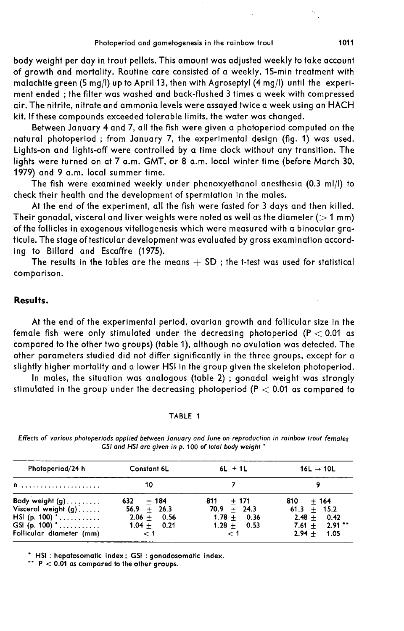Photoperiod and gametogenesis in the rainbow trout<br>body weight per day in trout pellets. This amount was adjusted weekly to take account<br>of growth and mortality. Routine care consisted of a weekly, 15-min treatment with malachite green (5 mg/1) up to April 13, then with Agroseptyl (4 mg/I) until the experiment ended ; the filter was washed and back-flushed 3 times a week with compressed air. The nitrite, nitrate and ammonia levels were assayed twice a week using an HACH kit. If these compounds exceeded tolerable limits, the water was changed.

Between January 4 and 7, all the fish were given a photoperiod computed on the natural photoperiod ; from January 7, the experimental design (fig. 1) was used. Lights-on and lights-off were controlled by a time clock without any transition. The lights were turned on at 7 a.m. GMT, or 8 a.m. local winter time (before March 30, 1979) and 9 a.m. local summer time.

The fish were examined weekly under phenoxyethanol anesthesia (0.3 ml/1) to check their health and the development of spermiation in the males.

At the end of the experiment, all the fish were fasted for 3 days and then killed. Their gonadal, visceral and liver weights were noted as well as the diameter ( $>1$  mm) of the follicles in exogenous vitellogenesis which were measured with a binocular graticule. The stage of testicular development was evaluated by gross examination according to Billard and Escaffre (1975).

The results in the tables are the means  $\pm$  SD ; the t-test was used for statistical comparison.

#### Results.

At the end of the experimental period, ovarian growth and follicular size in the female fish were only stimulated under the decreasing photoperiod ( $P < 0.01$  as compared to the other two groups) (table 1), although no ovulation was detected. The other parameters studied did not differ significantly in the three groups, except for a slightly higher mortality and a lower HSI in the group given the skeleton photoperiod.

In males, the situation was analogous (table 2) ; gonadal weight was strongly stimulated in the group under the decreasing photoperiod ( $P < 0.01$  as compared to

#### TABLE 1

| Photoperiod/24 h                                                                                               | <b>Constant 6L</b>                                                         | $6L + 1L$                                                                  | $16L \rightarrow 10L$                                                              |
|----------------------------------------------------------------------------------------------------------------|----------------------------------------------------------------------------|----------------------------------------------------------------------------|------------------------------------------------------------------------------------|
| n                                                                                                              | 10                                                                         |                                                                            |                                                                                    |
| Body weight (g)<br>Visceral weight $(g)$<br>HSI (p. 100) $^*$<br>GSI (p. 100) $^*$<br>Follicular diameter (mm) | $632 + 184$<br>$56.9 + 26.3$<br>$2.06 + 0.56$<br>$1.04 + 0.21$<br>$\leq$ 1 | $811 + 171$<br>$70.9 + 24.3$<br>$1.78 + 0.36$<br>$1.28 + 0.53$<br>$\leq$ 1 | $810 + 164$<br>$61.3 + 15.2$<br>$2.48 + 0.42$<br>$7.61 + 2.91$ **<br>$2.94 + 1.05$ |

Effects of various photoperiods applied between January and June on reproduction in rainbow trout females GSI and HSI are given in p. 100 of total body weight \*

\* HSI: hepatosomatic index; GSI: gonadosomatic index.

\*\*  $P < 0.01$  as compared to the other groups.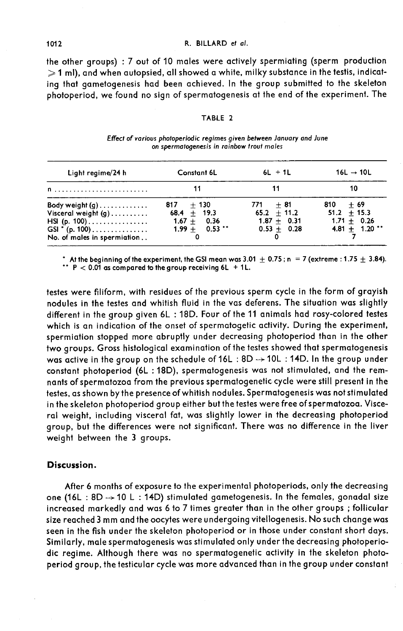#### R. BILLARD et al.

the other groups) : 7 out of 10 males were actively spermiating (sperm production  $\geqslant$  1 ml), and when autopsied, all showed a white, milky substance in the testis, indicating that gametogenesis had been achieved. In the group submitted to the skeleton photoperiod, we found no sign of spermatogenesis at the end of the experiment. The

#### TABLE 2

| Light regime/24 h                                                                                           | Constant 6L                                                       | $6L + 1L$                                                     | $16L \rightarrow 10L$                                            |  |
|-------------------------------------------------------------------------------------------------------------|-------------------------------------------------------------------|---------------------------------------------------------------|------------------------------------------------------------------|--|
| $\mathsf{n}$                                                                                                |                                                                   | 11                                                            | 10                                                               |  |
| Body weight $(q)$<br>Visceral weight $(g)$<br>HSI (p. 100)<br>GSI * (p. 100)<br>No. of males in spermiation | $817 + 130$<br>$68.4 + 19.3$<br>$1.67 + 0.36$<br>$1.99 + 0.53$ ** | $771 + 81$<br>$65.2 + 11.2$<br>$1.87 + 0.31$<br>$0.53 + 0.28$ | $810 + 69$<br>$51.2 + 15.3$<br>$1.71 + 0.26$<br>$4.81 + 1.20$ ** |  |

Effect of various photoperiodic regimes given between January and June on spermatogenesis in rainbow trout males

\* At the beginning of the experiment, the GSI mean was 3.01  $\pm$  0.75 ; n = 7 (extreme : 1.75  $\pm$  3.84). \*\*  $P < 0.01$  as compared to the group receiving 6L + 1L.

testes were filiform, with residues of the previous sperm cycle in the form of grayish nodules in the testes and whitish fluid in the vas deferens. The situation was slightly different in the group given 6L : 18D. Four of the 11 animals had rosy-colored testes which is an indication of the onset of spermatogetic activity. During the experiment, spermiation stopped more abruptly under decreasing photoperiod than in the other<br>two groups. Gross histological examination of the testes showed that spermatogenesis was active in the group on the schedule of 16L : 8D -> 10L : 14D. In the group under constant photoperiod (bL : 18D), spermatogenesis was not stimulated, and the remnants of spermatozoa from the previous spermatogenetic cycle were still present in the testes, as shown by the presence of whitish nodules. Spermatogenesis was not stimulated in the skeleton photoperiod group either but the testes were free of spermatozoa. Visceral weight, including visceral fat, was slightly lower in the decreasing photoperiod group, but the differences were not significant. There was no difference in the liver weight between the 3 groups.

# Discussion.

After 6 months of exposure to the experimental photoperiods, only the decreasing one (16L : 8D  $\rightarrow$  10 L : 14D) stimulated gametogenesis. In the females, gonadal size increased markedly and was 6 to 7 times greater than in the other groups ; follicular size reached 3 mm and the oocytes were undergoing vitellogenesis. No such change was seen in the fish under the skeleton photoperiod or in those under constant short days. Similarly, male spermatogenesis was stimulated only under the decreasing photoperiodic regime. Although there was no spermatogenetic activity in the skeleton photoperiod group, the testicular cycle was more advanced than in the group under constant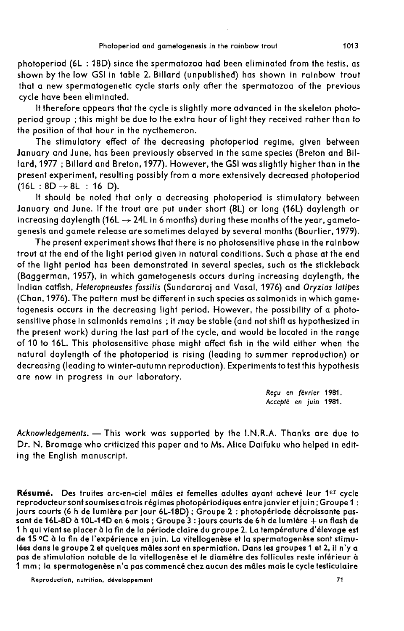photoperiod (6L : 18D) since the spermatozoa had been eliminated from the testis, as shown by the low GSI in table 2. Billard (unpublished) has shown in rainbow trout that a new spermatogenetic cycle starts only after the spermatozoa of the previous cycle have been eliminated.

It therefore appears that the cycle is slightly more advanced in the skeleton photoperiod group ; this might be due to the extra hour of light they received rather than to the position of that hour in the nycthemeron.

The stimulatory effect of the decreasing photoperiod regime, given between January and June, has been previously observed in the same species (Breton and Billard, 1977 ; Billard and Breton, 1977). However, the GSI was slightly higher than in the present experiment, resulting possibly from a more extensively decreased photoperiod  $(16L : 8D \rightarrow 8L : 16 D)$ .

It should be noted that only a decreasing photoperiod is stimulatory between January and June. If the trout are put under short (8L) or long (16L) daylength or increasing daylength (16L  $\rightarrow$  24L in 6 months) during these months of the year, gametogenesis and gamete release are sometimes delayed by several months (Bourlier, 1979).

The present experiment shows that there is no photosensitive phase in the rainbow trout at the end of the light period given in natural conditions. Such a phase at the end of the light period has been demonstrated in several species, such as the stickleback (Baggerman, 1957), in which gametogenesis occurs during increasing daylength, the Indian catfish, Heteropneustes fossilis (Sundararaj and Vasal, 1976) and Oryzias latipes (Chan, 1976). The pattern must be different in such species as salmonids in which gametogenesis occurs in the decreasing light period. However, the possibility of a photosensitive phase in salmonids remains ; it may be stable (and not shift as hypothesized in the present work) during the last part of the cycle, and would be located in the range of 10 to 16L. This photosensitive phase might affect fish in the wild either when the natural daylength of the photoperiod is rising (leading to summer reproduction) or decreasing (leading to winter-autumn reproduction). Experimentstotestthis hypothesis are now in progress in our laboratory.

> Reçu en février 1981. Accepté en juin 1981.

Acknowledgements. - This work was supported by the I.N.R.A. Thanks are due to Dr. N. Bromage who criticized this paper and to Ms. Alice Daifuku who helped in editing the English manuscript.

Résumé. Des truites arc-en-ciel mâles et femelles adultes ayant achevé leur 1er cycle reproducteur sont soumises a trois régimes photopériodiques entre janvier et juin; Groupe 1 : jours courts (6 h de lumière par jour 6L-18D) ; Groupe 2 : photopériode décroissante passant de 16L-8D à 10L-14D en 6 mois ; Groupe 3 : jours courts de 6 h de lumière + un flash de 1 h qui vient se placer à la fin de la période claire du groupe 2. La température d'élevage est de 15 °C à la fin de l'expérience en juin. La vitellogenèse et la spermatogenèse sont stimulées dans le groupe 2 et quelques mâles sont en spermiation. Dans les groupes 1 et 2, il n'y a pas de stimulation notable de la vitellogenèse et le diamètre des follicules reste inférieur à 1 mm; la spermatogenèse n'a pas commencé chez aucun des mâles mais le cycle testiculaire

1013